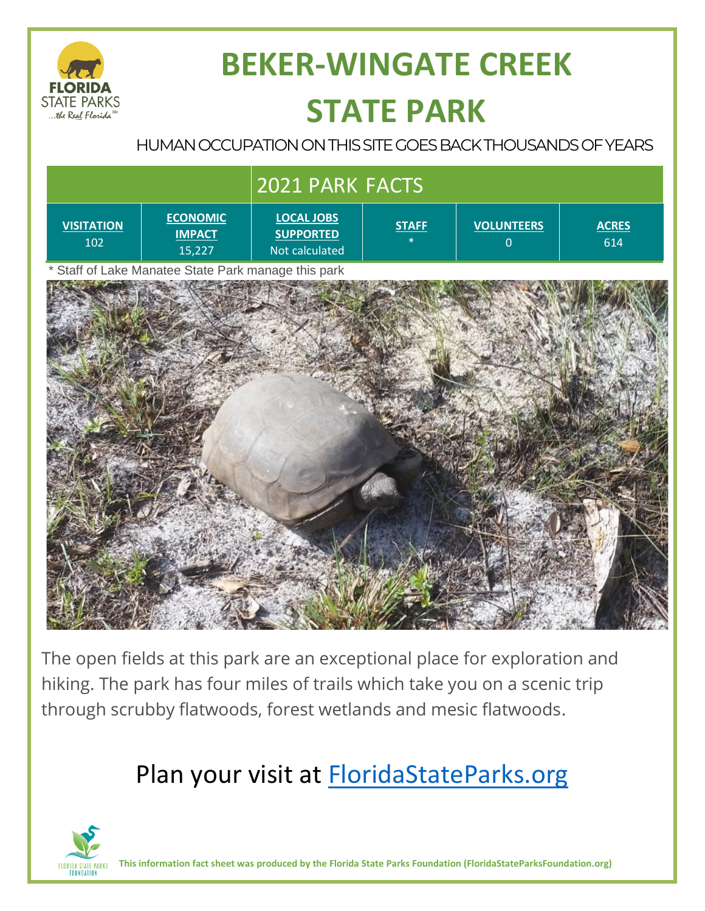

# **BEKER-WINGATE CREEK STATE PARK**

### HUMAN OCCUPATION ON THIS SITE GOES BACK THOUSANDS OF YEARS

| 2021 PARK FACTS                                             |                                            |                                                         |              |                                     |                     |
|-------------------------------------------------------------|--------------------------------------------|---------------------------------------------------------|--------------|-------------------------------------|---------------------|
| <b>VISITATION</b><br>102                                    | <b>ECONOMIC</b><br><b>IMPACT</b><br>15,227 | <b>LOCAL JOBS</b><br><b>SUPPORTED</b><br>Not calculated | <b>STAFF</b> | <b>VOLUNTEERS</b><br>$\overline{0}$ | <b>ACRES</b><br>614 |
| Staff of Lake Manatee State Park manage this park<br>$\ast$ |                                            |                                                         |              |                                     |                     |
|                                                             |                                            |                                                         |              |                                     |                     |
|                                                             |                                            |                                                         |              |                                     |                     |
|                                                             |                                            |                                                         |              |                                     |                     |

The open fields at this park are an exceptional place for exploration and hiking. The park has four miles of trails which take you on a scenic trip through scrubby flatwoods, forest wetlands and mesic flatwoods.

## Plan your visit at **FloridaStateParks.org**



**This information fact sheet was produced by the Florida State Parks Foundation (FloridaStateParksFoundation.org)**